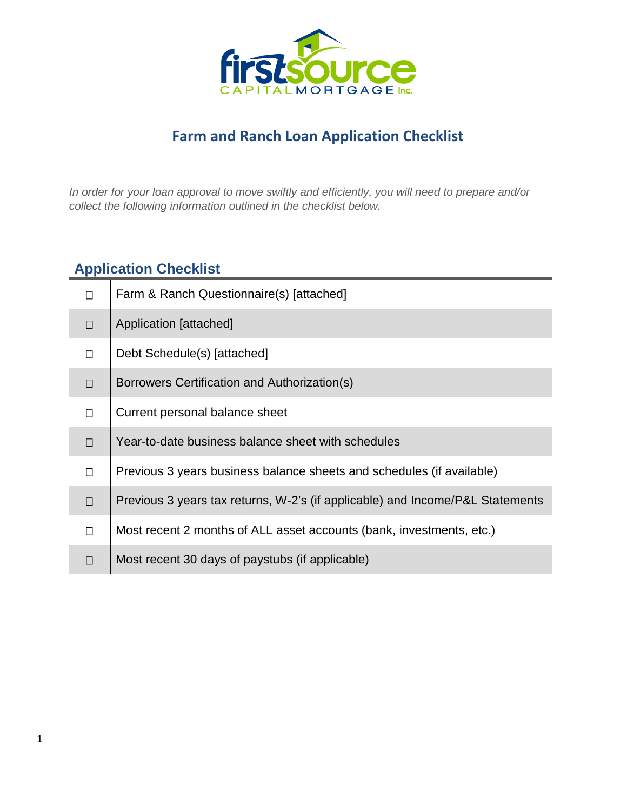

# **Farm and Ranch Loan Application Checklist**

*In order for your loan approval to move swiftly and efficiently, you will need to prepare and/or collect the following information outlined in the checklist below.* 

# **Application Checklist**

| П      | Farm & Ranch Questionnaire(s) [attached]                                      |
|--------|-------------------------------------------------------------------------------|
| $\Box$ | Application [attached]                                                        |
| П      | Debt Schedule(s) [attached]                                                   |
| $\Box$ | Borrowers Certification and Authorization(s)                                  |
| П      | Current personal balance sheet                                                |
| $\Box$ | Year-to-date business balance sheet with schedules                            |
| $\Box$ | Previous 3 years business balance sheets and schedules (if available)         |
| $\Box$ | Previous 3 years tax returns, W-2's (if applicable) and Income/P&L Statements |
| П      | Most recent 2 months of ALL asset accounts (bank, investments, etc.)          |
| П      | Most recent 30 days of paystubs (if applicable)                               |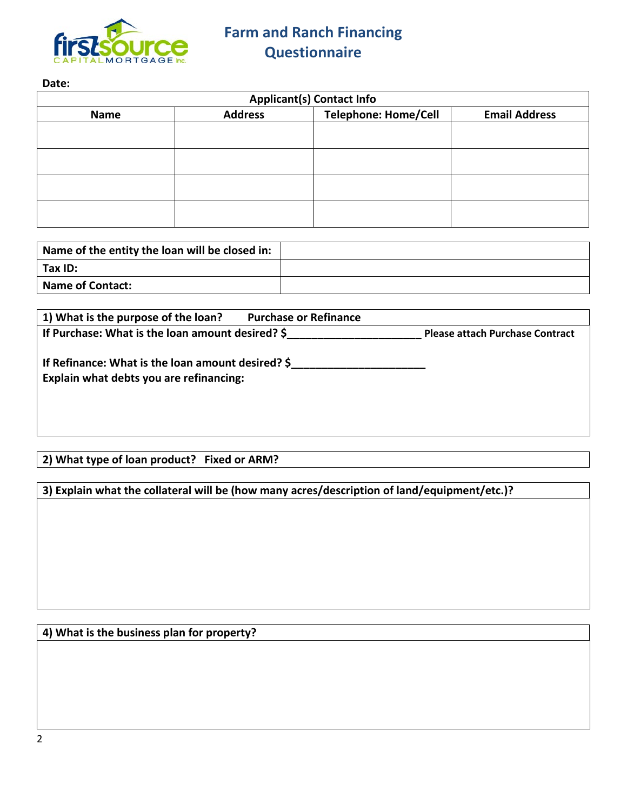

**Date:**

| <b>Applicant(s) Contact Info</b> |                      |  |  |  |  |  |  |
|----------------------------------|----------------------|--|--|--|--|--|--|
| <b>Name</b>                      | <b>Email Address</b> |  |  |  |  |  |  |
|                                  |                      |  |  |  |  |  |  |
|                                  |                      |  |  |  |  |  |  |
|                                  |                      |  |  |  |  |  |  |
|                                  |                      |  |  |  |  |  |  |
|                                  |                      |  |  |  |  |  |  |
|                                  |                      |  |  |  |  |  |  |
|                                  |                      |  |  |  |  |  |  |
|                                  |                      |  |  |  |  |  |  |

| Name of the entity the loan will be closed in: |  |
|------------------------------------------------|--|
| $\vert$ Tax ID:                                |  |
| Name of Contact:                               |  |

| 1) What is the purpose of the loan?                                                          | <b>Purchase or Refinance</b> |                                        |
|----------------------------------------------------------------------------------------------|------------------------------|----------------------------------------|
| If Purchase: What is the loan amount desired? \$                                             |                              | <b>Please attach Purchase Contract</b> |
| If Refinance: What is the loan amount desired? \$<br>Explain what debts you are refinancing: |                              |                                        |

## **2) What type of loan product? Fixed or ARM?**

**3) Explain what the collateral will be (how many acres/description of land/equipment/etc.)?**

## **4) What is the business plan for property?**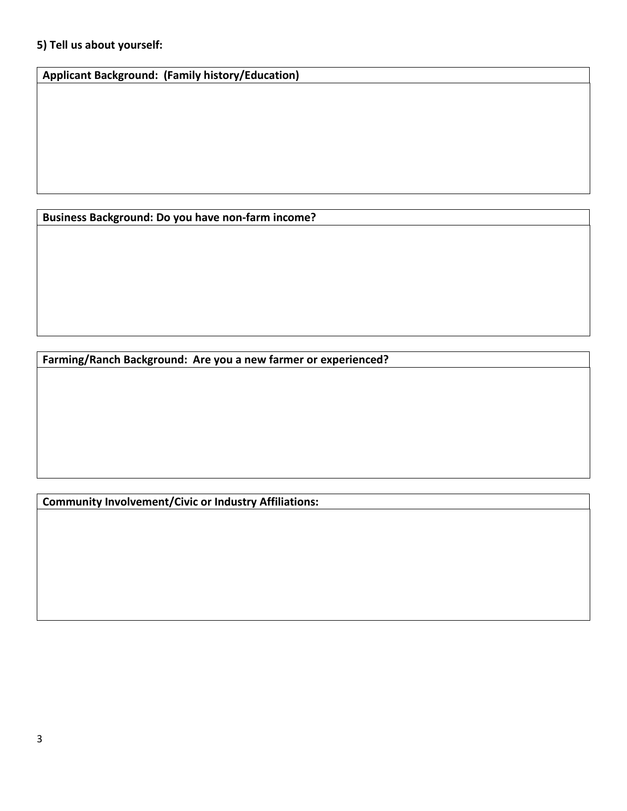## **5) Tell us about yourself:**

**Applicant Background: (Family history/Education)**

**Business Background: Do you have non-farm income?**

**Farming/Ranch Background: Are you a new farmer or experienced?**

**Community Involvement/Civic or Industry Affiliations:**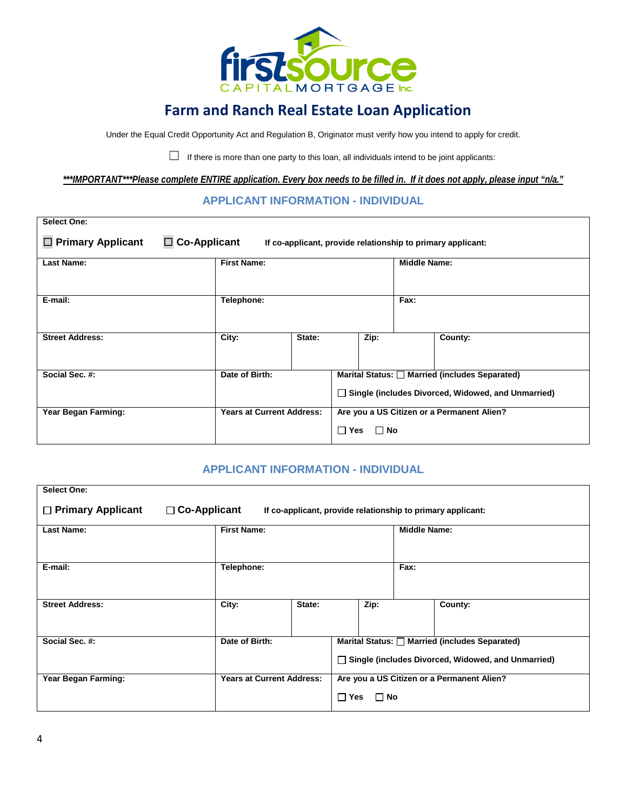

## **Farm and Ranch Real Estate Loan Application**

Under the Equal Credit Opportunity Act and Regulation B, Originator must verify how you intend to apply for credit.

 $\Box$  If there is more than one party to this loan, all individuals intend to be joint applicants:

*\*\*\*IMPORTANT\*\*\*Please complete ENTIRE application. Every box needs to be filled in. If it does not apply, please input "n/a."*

#### **APPLICANT INFORMATION - INDIVIDUAL**

| <b>Select One:</b>                                                                                             |                                  |  |                                                                                                           |                                                                       |                     |         |  |  |
|----------------------------------------------------------------------------------------------------------------|----------------------------------|--|-----------------------------------------------------------------------------------------------------------|-----------------------------------------------------------------------|---------------------|---------|--|--|
| $\Box$ Primary Applicant<br>$\Box$ Co-Applicant<br>If co-applicant, provide relationship to primary applicant: |                                  |  |                                                                                                           |                                                                       |                     |         |  |  |
| <b>Last Name:</b>                                                                                              | <b>First Name:</b>               |  |                                                                                                           |                                                                       | <b>Middle Name:</b> |         |  |  |
| E-mail:                                                                                                        | Telephone:                       |  |                                                                                                           |                                                                       | Fax:                |         |  |  |
| <b>Street Address:</b>                                                                                         | City:<br>State:                  |  |                                                                                                           | Zip:                                                                  |                     | County: |  |  |
| Social Sec. #:                                                                                                 | Date of Birth:                   |  | Marital Status: Married (includes Separated)<br>$\Box$ Single (includes Divorced, Widowed, and Unmarried) |                                                                       |                     |         |  |  |
| Year Began Farming:                                                                                            | <b>Years at Current Address:</b> |  |                                                                                                           | Are you a US Citizen or a Permanent Alien?<br>$\Box$ Yes<br>$\Box$ No |                     |         |  |  |

#### **APPLICANT INFORMATION - INDIVIDUAL**

| <b>Select One:</b>                                                                                             |                                  |  |                                                                                                           |      |                     |         |  |
|----------------------------------------------------------------------------------------------------------------|----------------------------------|--|-----------------------------------------------------------------------------------------------------------|------|---------------------|---------|--|
| $\Box$ Primary Applicant<br>$\Box$ Co-Applicant<br>If co-applicant, provide relationship to primary applicant: |                                  |  |                                                                                                           |      |                     |         |  |
| <b>Last Name:</b>                                                                                              | <b>First Name:</b>               |  |                                                                                                           |      | <b>Middle Name:</b> |         |  |
| E-mail:                                                                                                        | Telephone:                       |  |                                                                                                           |      | Fax:                |         |  |
| <b>Street Address:</b>                                                                                         | City:<br>State:                  |  |                                                                                                           | Zip: |                     | County: |  |
| Social Sec. #:                                                                                                 | Date of Birth:                   |  | Marital Status: Married (includes Separated)<br>$\Box$ Single (includes Divorced, Widowed, and Unmarried) |      |                     |         |  |
| Year Began Farming:                                                                                            | <b>Years at Current Address:</b> |  | Are you a US Citizen or a Permanent Alien?<br>$\Box$ Yes<br>$\Box$ No                                     |      |                     |         |  |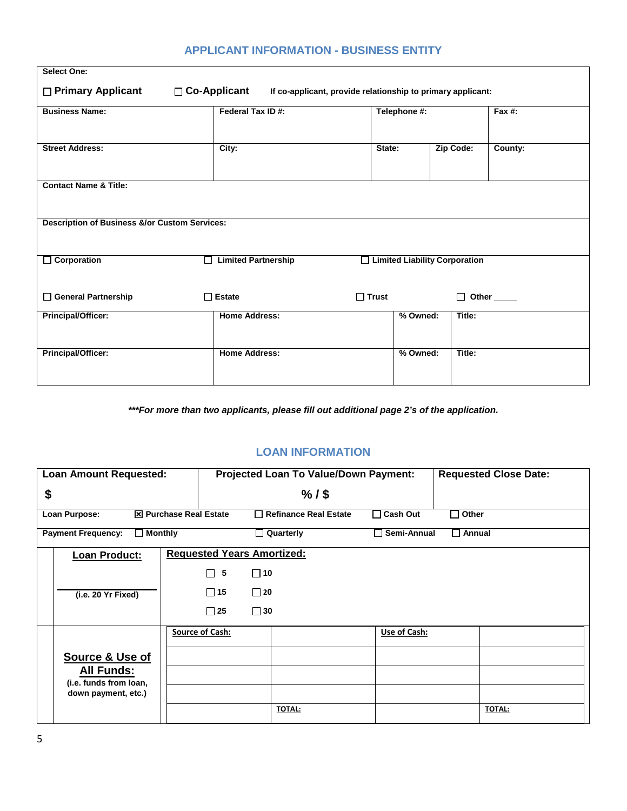| <b>Select One:</b>                                                                                   |                                 |                                 |           |                        |  |  |  |  |  |
|------------------------------------------------------------------------------------------------------|---------------------------------|---------------------------------|-----------|------------------------|--|--|--|--|--|
| □ Primary Applicant<br>□ Co-Applicant<br>If co-applicant, provide relationship to primary applicant: |                                 |                                 |           |                        |  |  |  |  |  |
| <b>Business Name:</b>                                                                                | Federal Tax ID#:                | Telephone #:                    |           | Fax $#$ :              |  |  |  |  |  |
| <b>Street Address:</b>                                                                               | City:                           | State:                          | Zip Code: | County:                |  |  |  |  |  |
| <b>Contact Name &amp; Title:</b>                                                                     |                                 |                                 |           |                        |  |  |  |  |  |
| <b>Description of Business &amp;/or Custom Services:</b>                                             |                                 |                                 |           |                        |  |  |  |  |  |
| Corporation                                                                                          | <b>Limited Partnership</b><br>П | □ Limited Liability Corporation |           |                        |  |  |  |  |  |
| General Partnership                                                                                  | $\Box$ Estate                   | $\Box$ Trust                    | П         | Other <sub>_____</sub> |  |  |  |  |  |
| Principal/Officer:                                                                                   | <b>Home Address:</b>            | % Owned:                        | Title:    |                        |  |  |  |  |  |
| Principal/Officer:                                                                                   | <b>Home Address:</b>            | % Owned:                        | Title:    |                        |  |  |  |  |  |
|                                                                                                      |                                 |                                 |           |                        |  |  |  |  |  |

## **APPLICANT INFORMATION - BUSINESS ENTITY**

*\*\*\*For more than two applicants, please fill out additional page 2's of the application.*

### **LOAN INFORMATION**

| <b>Loan Amount Requested:</b>               |                        | <b>Projected Loan To Value/Down Payment:</b> |                   | <b>Requested Close Date:</b> |
|---------------------------------------------|------------------------|----------------------------------------------|-------------------|------------------------------|
| \$                                          |                        | $%1$ \$                                      |                   |                              |
| Loan Purpose:                               | X Purchase Real Estate | Refinance Real Estate                        | $\sqcap$ Cash Out | Other<br>×.                  |
| <b>Payment Frequency:</b><br>$\Box$ Monthly |                        | Quarterly                                    | Semi-Annual       | Annual                       |
| Loan Product:                               |                        | <b>Requested Years Amortized:</b>            |                   |                              |
|                                             | 5<br>П                 | $\Box$ 10                                    |                   |                              |
| (i.e. 20 Yr Fixed)                          | $\Box$ 15              | $\Box$ 20                                    |                   |                              |
|                                             | $\Box$ 25              | $\Box$ 30                                    |                   |                              |
|                                             | <b>Source of Cash:</b> |                                              | Use of Cash:      |                              |
| Source & Use of                             |                        |                                              |                   |                              |
| <b>All Funds:</b><br>(i.e. funds from loan, |                        |                                              |                   |                              |
| down payment, etc.)                         |                        |                                              |                   |                              |
|                                             |                        | <b>TOTAL:</b>                                |                   | TOTAL:                       |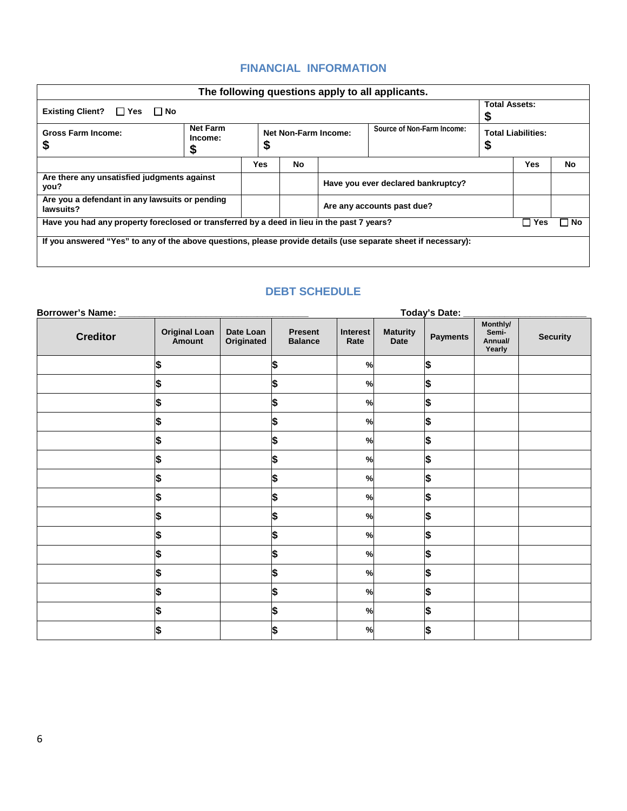## **FINANCIAL INFORMATION**

| The following questions apply to all applicants.                                                               |                            |                                                         |           |                                    |                                |     |    |  |
|----------------------------------------------------------------------------------------------------------------|----------------------------|---------------------------------------------------------|-----------|------------------------------------|--------------------------------|-----|----|--|
| Existing Client? $\Box$ Yes<br>⊟ No                                                                            | <b>Total Assets:</b>       |                                                         |           |                                    |                                |     |    |  |
| <b>Gross Farm Income:</b><br>ъ                                                                                 | <b>Net Farm</b><br>Income: | Source of Non-Farm Income:<br>Net Non-Farm Income:<br>Φ |           |                                    | <b>Total Liabilities:</b><br>Ð |     |    |  |
|                                                                                                                |                            |                                                         | <b>No</b> |                                    |                                | Yes | No |  |
| Are there any unsatisfied judgments against<br>you?                                                            |                            |                                                         |           | Have you ever declared bankruptcy? |                                |     |    |  |
| Are you a defendant in any lawsuits or pending<br>lawsuits?                                                    |                            |                                                         |           | Are any accounts past due?         |                                |     |    |  |
| Have you had any property foreclosed or transferred by a deed in lieu in the past 7 years?<br>Yes<br>⊟ No∶     |                            |                                                         |           |                                    |                                |     |    |  |
| If you answered "Yes" to any of the above questions, please provide details (use separate sheet if necessary): |                            |                                                         |           |                                    |                                |     |    |  |

#### **DEBT SCHEDULE**

| <b>Borrower's Name:</b> | <b>Today's Date:</b>           |                         |                                  |                  |                         |                 |                                        |                 |
|-------------------------|--------------------------------|-------------------------|----------------------------------|------------------|-------------------------|-----------------|----------------------------------------|-----------------|
| <b>Creditor</b>         | <b>Original Loan</b><br>Amount | Date Loan<br>Originated | <b>Present</b><br><b>Balance</b> | Interest<br>Rate | <b>Maturity</b><br>Date | <b>Payments</b> | Monthly/<br>Semi-<br>Annual/<br>Yearly | <b>Security</b> |
|                         | \$                             |                         | \$                               | %                |                         | \$              |                                        |                 |
|                         | \$                             |                         | \$                               | %                |                         | \$              |                                        |                 |
|                         | \$                             |                         | \$                               | %                |                         | \$              |                                        |                 |
|                         | \$                             |                         | \$                               | %                |                         | \$              |                                        |                 |
|                         | \$                             |                         | \$                               | %                |                         | \$              |                                        |                 |
|                         | \$                             |                         | \$                               | %                |                         | \$              |                                        |                 |
|                         | \$                             |                         | \$                               | %                |                         | \$              |                                        |                 |
|                         | \$                             |                         | \$                               | $\frac{1}{2}$    |                         | \$              |                                        |                 |
|                         | \$                             |                         | \$                               | $\%$             |                         | \$              |                                        |                 |
|                         | \$                             |                         | \$                               | %                |                         | \$              |                                        |                 |
|                         | \$                             |                         | \$                               | %                |                         | \$              |                                        |                 |
|                         | \$                             |                         | \$                               | $\frac{9}{6}$    |                         | \$              |                                        |                 |
|                         | \$                             |                         | \$                               | %                |                         | \$              |                                        |                 |
|                         | \$                             |                         | \$                               | %                |                         | \$              |                                        |                 |
|                         | \$                             |                         | \$                               | %                |                         | l\$             |                                        |                 |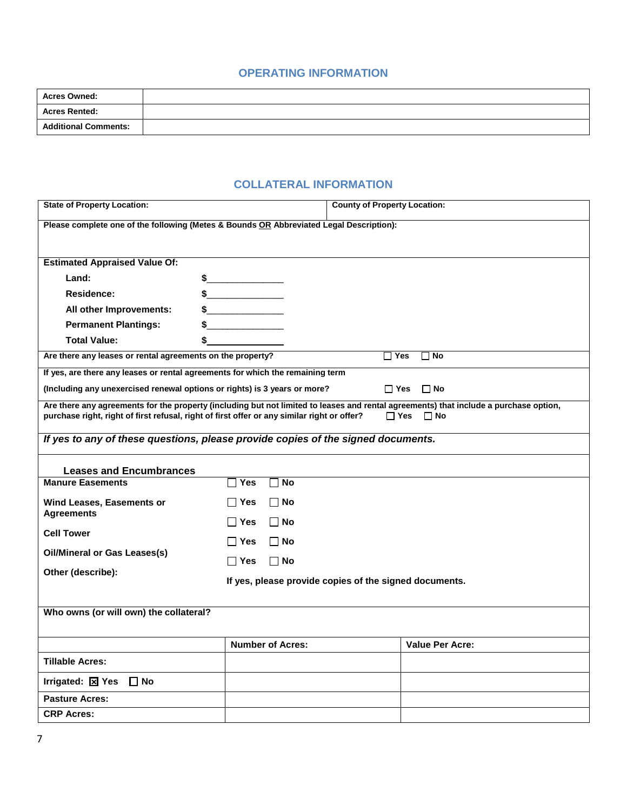#### **OPERATING INFORMATION**

| <b>Acres Owned:</b>         |  |
|-----------------------------|--|
| <b>Acres Rented:</b>        |  |
| <b>Additional Comments:</b> |  |

## **COLLATERAL INFORMATION**

| <b>State of Property Location:</b>                                                          |                                                                                         | <b>County of Property Location:</b>                    |                                                                                                                                                                  |  |  |  |  |  |  |
|---------------------------------------------------------------------------------------------|-----------------------------------------------------------------------------------------|--------------------------------------------------------|------------------------------------------------------------------------------------------------------------------------------------------------------------------|--|--|--|--|--|--|
|                                                                                             | Please complete one of the following (Metes & Bounds OR Abbreviated Legal Description): |                                                        |                                                                                                                                                                  |  |  |  |  |  |  |
|                                                                                             |                                                                                         |                                                        |                                                                                                                                                                  |  |  |  |  |  |  |
| <b>Estimated Appraised Value Of:</b>                                                        |                                                                                         |                                                        |                                                                                                                                                                  |  |  |  |  |  |  |
| Land:                                                                                       | \$<br><u> 1990 - Johann Barbara, martxa</u>                                             |                                                        |                                                                                                                                                                  |  |  |  |  |  |  |
| Residence:                                                                                  | $\frac{1}{2}$                                                                           |                                                        |                                                                                                                                                                  |  |  |  |  |  |  |
| All other Improvements:                                                                     |                                                                                         |                                                        |                                                                                                                                                                  |  |  |  |  |  |  |
| <b>Permanent Plantings:</b>                                                                 |                                                                                         |                                                        |                                                                                                                                                                  |  |  |  |  |  |  |
| <b>Total Value:</b>                                                                         | \$                                                                                      |                                                        |                                                                                                                                                                  |  |  |  |  |  |  |
| Are there any leases or rental agreements on the property?                                  |                                                                                         | □ Yes                                                  | $\Box$ No                                                                                                                                                        |  |  |  |  |  |  |
| If yes, are there any leases or rental agreements for which the remaining term              |                                                                                         |                                                        |                                                                                                                                                                  |  |  |  |  |  |  |
| (Including any unexercised renewal options or rights) is 3 years or more?                   |                                                                                         | <b>⊟</b> Yes                                           | $\Box$ No                                                                                                                                                        |  |  |  |  |  |  |
| purchase right, right of first refusal, right of first offer or any similar right or offer? |                                                                                         |                                                        | Are there any agreements for the property (including but not limited to leases and rental agreements) that include a purchase option,<br>$\Box$ Yes<br>$\Box$ No |  |  |  |  |  |  |
| If yes to any of these questions, please provide copies of the signed documents.            |                                                                                         |                                                        |                                                                                                                                                                  |  |  |  |  |  |  |
| <b>Leases and Encumbrances</b>                                                              |                                                                                         |                                                        |                                                                                                                                                                  |  |  |  |  |  |  |
| <b>Manure Easements</b>                                                                     | ∃ Yes<br><b>No</b>                                                                      |                                                        |                                                                                                                                                                  |  |  |  |  |  |  |
| Wind Leases, Easements or                                                                   | l lYes<br>∣ ∣No                                                                         |                                                        |                                                                                                                                                                  |  |  |  |  |  |  |
| <b>Agreements</b>                                                                           | ∣ Yes<br>∣ ∣No                                                                          |                                                        |                                                                                                                                                                  |  |  |  |  |  |  |
| <b>Cell Tower</b>                                                                           |                                                                                         |                                                        |                                                                                                                                                                  |  |  |  |  |  |  |
| <b>Oil/Mineral or Gas Leases(s)</b>                                                         | ∣ Yes<br>∣ ∣No                                                                          |                                                        |                                                                                                                                                                  |  |  |  |  |  |  |
|                                                                                             | Π Yes<br>$\Box$ No                                                                      |                                                        |                                                                                                                                                                  |  |  |  |  |  |  |
| Other (describe):                                                                           |                                                                                         | If yes, please provide copies of the signed documents. |                                                                                                                                                                  |  |  |  |  |  |  |
|                                                                                             |                                                                                         |                                                        |                                                                                                                                                                  |  |  |  |  |  |  |
| Who owns (or will own) the collateral?                                                      |                                                                                         |                                                        |                                                                                                                                                                  |  |  |  |  |  |  |
|                                                                                             |                                                                                         |                                                        |                                                                                                                                                                  |  |  |  |  |  |  |
|                                                                                             | <b>Number of Acres:</b>                                                                 |                                                        | <b>Value Per Acre:</b>                                                                                                                                           |  |  |  |  |  |  |
| <b>Tillable Acres:</b>                                                                      |                                                                                         |                                                        |                                                                                                                                                                  |  |  |  |  |  |  |
| Irrigated: $\boxed{\boxtimes}$ Yes $\boxed{\Box}$ No                                        |                                                                                         |                                                        |                                                                                                                                                                  |  |  |  |  |  |  |
| <b>Pasture Acres:</b>                                                                       |                                                                                         |                                                        |                                                                                                                                                                  |  |  |  |  |  |  |
| <b>CRP Acres:</b>                                                                           |                                                                                         |                                                        |                                                                                                                                                                  |  |  |  |  |  |  |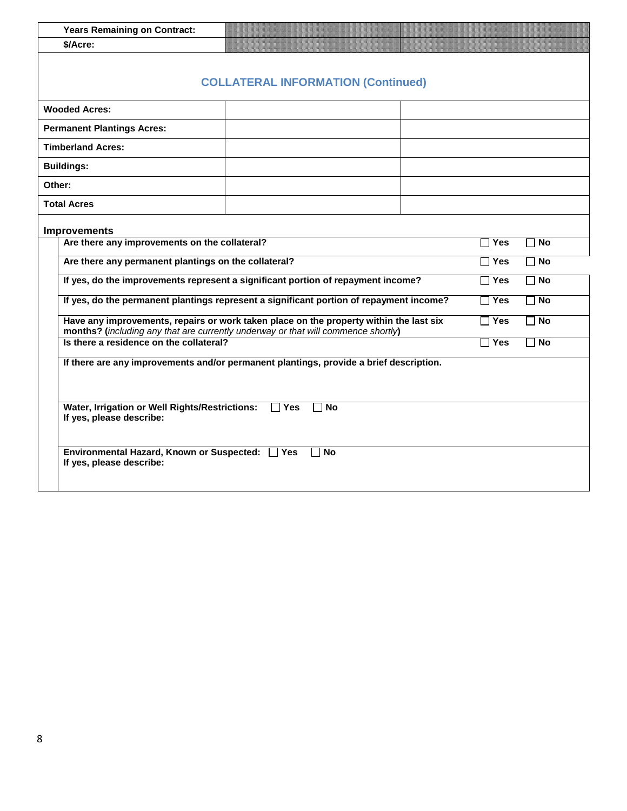| <b>Years Remaining on Contract:</b>                                                                                                                                                                    |                                                                    |                    |  |  |  |  |
|--------------------------------------------------------------------------------------------------------------------------------------------------------------------------------------------------------|--------------------------------------------------------------------|--------------------|--|--|--|--|
| \$/Acre:                                                                                                                                                                                               |                                                                    |                    |  |  |  |  |
| <b>COLLATERAL INFORMATION (Continued)</b>                                                                                                                                                              |                                                                    |                    |  |  |  |  |
| <b>Wooded Acres:</b>                                                                                                                                                                                   |                                                                    |                    |  |  |  |  |
| <b>Permanent Plantings Acres:</b>                                                                                                                                                                      |                                                                    |                    |  |  |  |  |
| <b>Timberland Acres:</b>                                                                                                                                                                               |                                                                    |                    |  |  |  |  |
| <b>Buildings:</b>                                                                                                                                                                                      |                                                                    |                    |  |  |  |  |
| Other:                                                                                                                                                                                                 |                                                                    |                    |  |  |  |  |
| <b>Total Acres</b>                                                                                                                                                                                     |                                                                    |                    |  |  |  |  |
| <b>Improvements</b>                                                                                                                                                                                    |                                                                    |                    |  |  |  |  |
| Are there any improvements on the collateral?                                                                                                                                                          |                                                                    | Π Yes<br><b>No</b> |  |  |  |  |
| Are there any permanent plantings on the collateral?<br>$\Box$ Yes<br><b>No</b>                                                                                                                        |                                                                    |                    |  |  |  |  |
| If yes, do the improvements represent a significant portion of repayment income?<br><b>No</b><br>$\Box$ Yes                                                                                            |                                                                    |                    |  |  |  |  |
| If yes, do the permanent plantings represent a significant portion of repayment income?<br>$\sqcap$ Yes<br><b>No</b>                                                                                   |                                                                    |                    |  |  |  |  |
| Have any improvements, repairs or work taken place on the property within the last six<br><b>No</b><br>$\Box$ Yes<br>months? (including any that are currently underway or that will commence shortly) |                                                                    |                    |  |  |  |  |
|                                                                                                                                                                                                        | Is there a residence on the collateral?<br>$\Box$ Yes<br><b>No</b> |                    |  |  |  |  |
| If there are any improvements and/or permanent plantings, provide a brief description.                                                                                                                 |                                                                    |                    |  |  |  |  |
|                                                                                                                                                                                                        |                                                                    |                    |  |  |  |  |
| Water, Irrigation or Well Rights/Restrictions:<br>l Yes<br><b>No</b><br>If yes, please describe:                                                                                                       |                                                                    |                    |  |  |  |  |
| Environmental Hazard, Known or Suspected: □ Yes<br>If yes, please describe:                                                                                                                            | No<br>$\Box$                                                       |                    |  |  |  |  |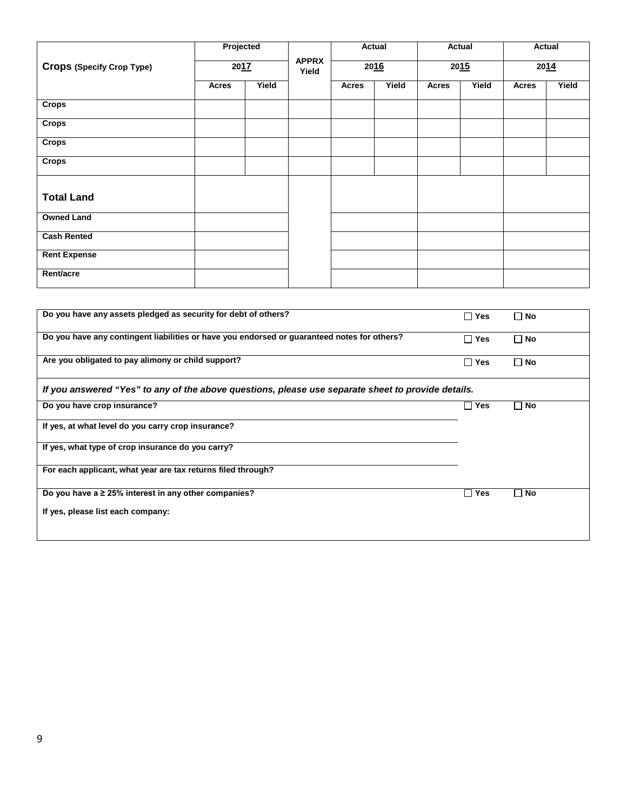|                                  | Projected<br>2017 |       | <b>APPRX</b><br>Yield | Actual<br>2016 |       | Actual<br>2015 |       | Actual<br>2014 |       |
|----------------------------------|-------------------|-------|-----------------------|----------------|-------|----------------|-------|----------------|-------|
| <b>Crops (Specify Crop Type)</b> |                   |       |                       |                |       |                |       |                |       |
|                                  | Acres             | Yield |                       | <b>Acres</b>   | Yield | <b>Acres</b>   | Yield | Acres          | Yield |
| <b>Crops</b>                     |                   |       |                       |                |       |                |       |                |       |
| <b>Crops</b>                     |                   |       |                       |                |       |                |       |                |       |
| <b>Crops</b>                     |                   |       |                       |                |       |                |       |                |       |
| <b>Crops</b>                     |                   |       |                       |                |       |                |       |                |       |
| <b>Total Land</b>                |                   |       |                       |                |       |                |       |                |       |
| <b>Owned Land</b>                |                   |       |                       |                |       |                |       |                |       |
| <b>Cash Rented</b>               |                   |       |                       |                |       |                |       |                |       |
| <b>Rent Expense</b>              |                   |       |                       |                |       |                |       |                |       |
| Rent/acre                        |                   |       |                       |                |       |                |       |                |       |

| Do you have any assets pledged as security for debt of others?                                     | $\sqcap$ Yes | $\Box$ No   |
|----------------------------------------------------------------------------------------------------|--------------|-------------|
| Do you have any contingent liabilities or have you endorsed or guaranteed notes for others?        | Π Yes        | $\Box$ No   |
| Are you obligated to pay alimony or child support?                                                 | Π Yes        | $\Box$ No   |
| If you answered "Yes" to any of the above questions, please use separate sheet to provide details. |              |             |
| Do you have crop insurance?                                                                        | Yes          | $\sqcap$ No |
| If yes, at what level do you carry crop insurance?                                                 |              |             |
| If yes, what type of crop insurance do you carry?                                                  |              |             |
| For each applicant, what year are tax returns filed through?                                       |              |             |
| Do you have a $\geq 25\%$ interest in any other companies?                                         | Yes          | $\sqcap$ No |
| If yes, please list each company:                                                                  |              |             |
|                                                                                                    |              |             |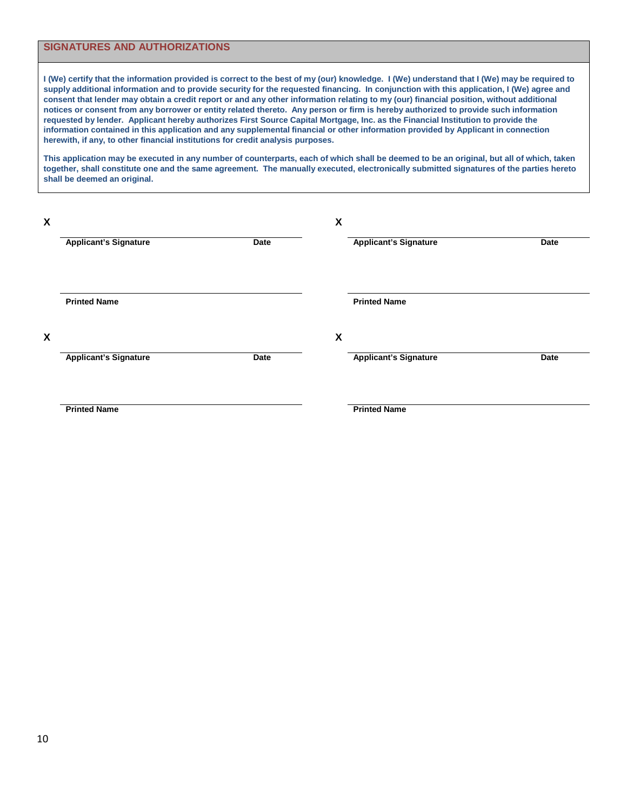#### **SIGNATURES AND AUTHORIZATIONS**

**I (We) certify that the information provided is correct to the best of my (our) knowledge. I (We) understand that I (We) may be required to supply additional information and to provide security for the requested financing. In conjunction with this application, I (We) agree and consent that lender may obtain a credit report or and any other information relating to my (our) financial position, without additional notices or consent from any borrower or entity related thereto. Any person or firm is hereby authorized to provide such information requested by lender. Applicant hereby authorizes First Source Capital Mortgage, Inc. as the Financial Institution to provide the information contained in this application and any supplemental financial or other information provided by Applicant in connection herewith, if any, to other financial institutions for credit analysis purposes.** 

**This application may be executed in any number of counterparts, each of which shall be deemed to be an original, but all of which, taken together, shall constitute one and the same agreement. The manually executed, electronically submitted signatures of the parties hereto shall be deemed an original.** 

| X |                              |      | $\pmb{\mathsf{X}}$ |                              |      |
|---|------------------------------|------|--------------------|------------------------------|------|
|   | <b>Applicant's Signature</b> | Date |                    | <b>Applicant's Signature</b> | Date |
|   |                              |      |                    |                              |      |
|   | <b>Printed Name</b>          |      |                    | <b>Printed Name</b>          |      |
| X |                              |      | $\pmb{\mathsf{X}}$ |                              |      |
|   | <b>Applicant's Signature</b> | Date |                    | <b>Applicant's Signature</b> | Date |
|   |                              |      |                    |                              |      |
|   | <b>Printed Name</b>          |      |                    | <b>Printed Name</b>          |      |